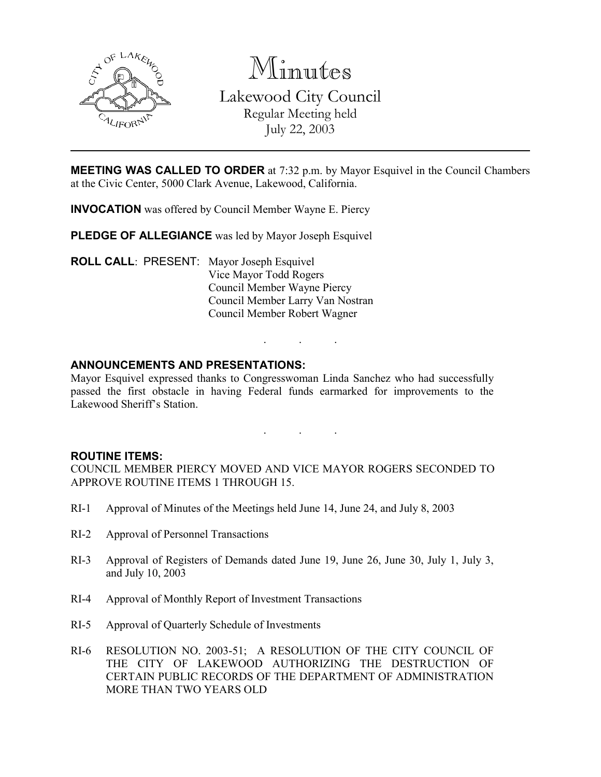

Minutes

Lakewood City Council Regular Meeting held July 22, 2003

MEETING WAS CALLED TO ORDER at 7:32 p.m. by Mayor Esquivel in the Council Chambers at the Civic Center, 5000 Clark Avenue, Lakewood, California.

INVOCATION was offered by Council Member Wayne E. Piercy

PLEDGE OF ALLEGIANCE was led by Mayor Joseph Esquivel

ROLL CALL: PRESENT: Mayor Joseph Esquivel Vice Mayor Todd Rogers Council Member Wayne Piercy Council Member Larry Van Nostran Council Member Robert Wagner

### ANNOUNCEMENTS AND PRESENTATIONS:

Mayor Esquivel expressed thanks to Congresswoman Linda Sanchez who had successfully passed the first obstacle in having Federal funds earmarked for improvements to the Lakewood Sheriff's Station.

. . .

. . .

#### ROUTINE ITEMS:

COUNCIL MEMBER PIERCY MOVED AND VICE MAYOR ROGERS SECONDED TO APPROVE ROUTINE ITEMS 1 THROUGH 15.

- RI-1 Approval of Minutes of the Meetings held June 14, June 24, and July 8, 2003
- RI-2 Approval of Personnel Transactions
- RI-3 Approval of Registers of Demands dated June 19, June 26, June 30, July 1, July 3, and July 10, 2003
- RI-4 Approval of Monthly Report of Investment Transactions
- RI-5 Approval of Quarterly Schedule of Investments
- RI-6 RESOLUTION NO. 2003-51; A RESOLUTION OF THE CITY COUNCIL OF THE CITY OF LAKEWOOD AUTHORIZING THE DESTRUCTION OF CERTAIN PUBLIC RECORDS OF THE DEPARTMENT OF ADMINISTRATION MORE THAN TWO YEARS OLD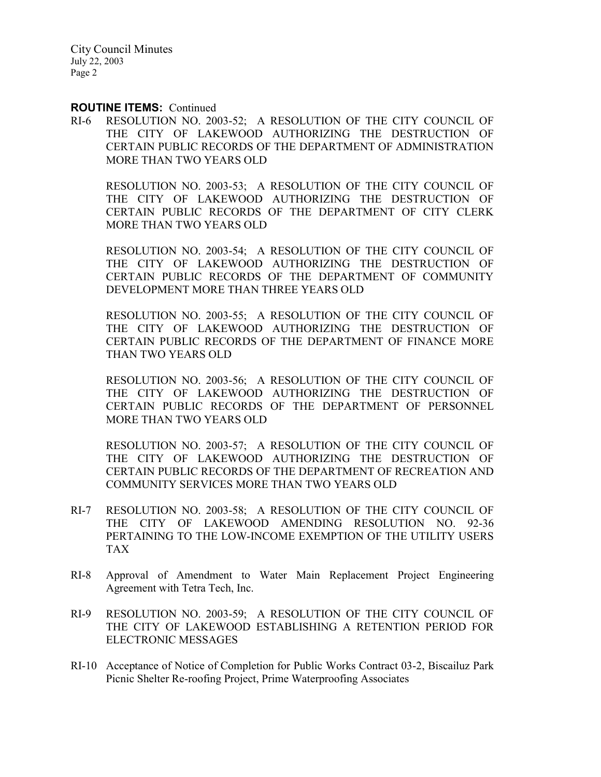#### ROUTINE ITEMS: Continued

RI-6 RESOLUTION NO. 2003-52; A RESOLUTION OF THE CITY COUNCIL OF THE CITY OF LAKEWOOD AUTHORIZING THE DESTRUCTION OF CERTAIN PUBLIC RECORDS OF THE DEPARTMENT OF ADMINISTRATION MORE THAN TWO YEARS OLD

RESOLUTION NO. 2003-53; A RESOLUTION OF THE CITY COUNCIL OF THE CITY OF LAKEWOOD AUTHORIZING THE DESTRUCTION OF CERTAIN PUBLIC RECORDS OF THE DEPARTMENT OF CITY CLERK MORE THAN TWO YEARS OLD

RESOLUTION NO. 2003-54; A RESOLUTION OF THE CITY COUNCIL OF THE CITY OF LAKEWOOD AUTHORIZING THE DESTRUCTION OF CERTAIN PUBLIC RECORDS OF THE DEPARTMENT OF COMMUNITY DEVELOPMENT MORE THAN THREE YEARS OLD

RESOLUTION NO. 2003-55; A RESOLUTION OF THE CITY COUNCIL OF THE CITY OF LAKEWOOD AUTHORIZING THE DESTRUCTION OF CERTAIN PUBLIC RECORDS OF THE DEPARTMENT OF FINANCE MORE THAN TWO YEARS OLD

RESOLUTION NO. 2003-56; A RESOLUTION OF THE CITY COUNCIL OF THE CITY OF LAKEWOOD AUTHORIZING THE DESTRUCTION OF CERTAIN PUBLIC RECORDS OF THE DEPARTMENT OF PERSONNEL MORE THAN TWO YEARS OLD

RESOLUTION NO. 2003-57; A RESOLUTION OF THE CITY COUNCIL OF THE CITY OF LAKEWOOD AUTHORIZING THE DESTRUCTION OF CERTAIN PUBLIC RECORDS OF THE DEPARTMENT OF RECREATION AND COMMUNITY SERVICES MORE THAN TWO YEARS OLD

- RI-7 RESOLUTION NO. 2003-58; A RESOLUTION OF THE CITY COUNCIL OF THE CITY OF LAKEWOOD AMENDING RESOLUTION NO. 92-36 PERTAINING TO THE LOW-INCOME EXEMPTION OF THE UTILITY USERS TAX
- RI-8 Approval of Amendment to Water Main Replacement Project Engineering Agreement with Tetra Tech, Inc.
- RI-9 RESOLUTION NO. 2003-59; A RESOLUTION OF THE CITY COUNCIL OF THE CITY OF LAKEWOOD ESTABLISHING A RETENTION PERIOD FOR ELECTRONIC MESSAGES
- RI-10 Acceptance of Notice of Completion for Public Works Contract 03-2, Biscailuz Park Picnic Shelter Re-roofing Project, Prime Waterproofing Associates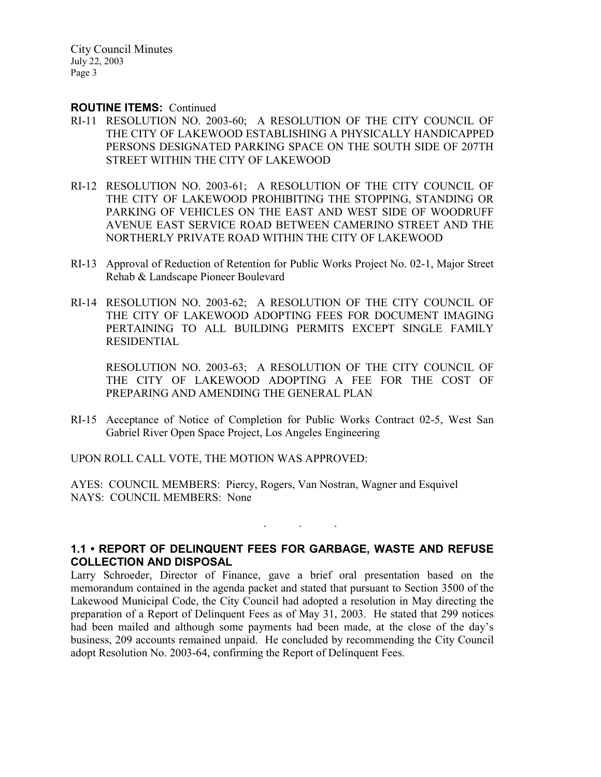#### ROUTINE ITEMS: Continued

- RI-11 RESOLUTION NO. 2003-60; A RESOLUTION OF THE CITY COUNCIL OF THE CITY OF LAKEWOOD ESTABLISHING A PHYSICALLY HANDICAPPED PERSONS DESIGNATED PARKING SPACE ON THE SOUTH SIDE OF 207TH STREET WITHIN THE CITY OF LAKEWOOD
- RI-12 RESOLUTION NO. 2003-61; A RESOLUTION OF THE CITY COUNCIL OF THE CITY OF LAKEWOOD PROHIBITING THE STOPPING, STANDING OR PARKING OF VEHICLES ON THE EAST AND WEST SIDE OF WOODRUFF AVENUE EAST SERVICE ROAD BETWEEN CAMERINO STREET AND THE NORTHERLY PRIVATE ROAD WITHIN THE CITY OF LAKEWOOD
- RI-13 Approval of Reduction of Retention for Public Works Project No. 02-1, Major Street Rehab & Landscape Pioneer Boulevard
- RI-14 RESOLUTION NO. 2003-62; A RESOLUTION OF THE CITY COUNCIL OF THE CITY OF LAKEWOOD ADOPTING FEES FOR DOCUMENT IMAGING PERTAINING TO ALL BUILDING PERMITS EXCEPT SINGLE FAMILY RESIDENTIAL

RESOLUTION NO. 2003-63; A RESOLUTION OF THE CITY COUNCIL OF THE CITY OF LAKEWOOD ADOPTING A FEE FOR THE COST OF PREPARING AND AMENDING THE GENERAL PLAN

RI-15 Acceptance of Notice of Completion for Public Works Contract 02-5, West San Gabriel River Open Space Project, Los Angeles Engineering

UPON ROLL CALL VOTE, THE MOTION WAS APPROVED:

AYES: COUNCIL MEMBERS: Piercy, Rogers, Van Nostran, Wagner and Esquivel NAYS: COUNCIL MEMBERS: None

## 1.1 • REPORT OF DELINQUENT FEES FOR GARBAGE, WASTE AND REFUSE COLLECTION AND DISPOSAL

. . .

Larry Schroeder, Director of Finance, gave a brief oral presentation based on the memorandum contained in the agenda packet and stated that pursuant to Section 3500 of the Lakewood Municipal Code, the City Council had adopted a resolution in May directing the preparation of a Report of Delinquent Fees as of May 31, 2003. He stated that 299 notices had been mailed and although some payments had been made, at the close of the day's business, 209 accounts remained unpaid. He concluded by recommending the City Council adopt Resolution No. 2003-64, confirming the Report of Delinquent Fees.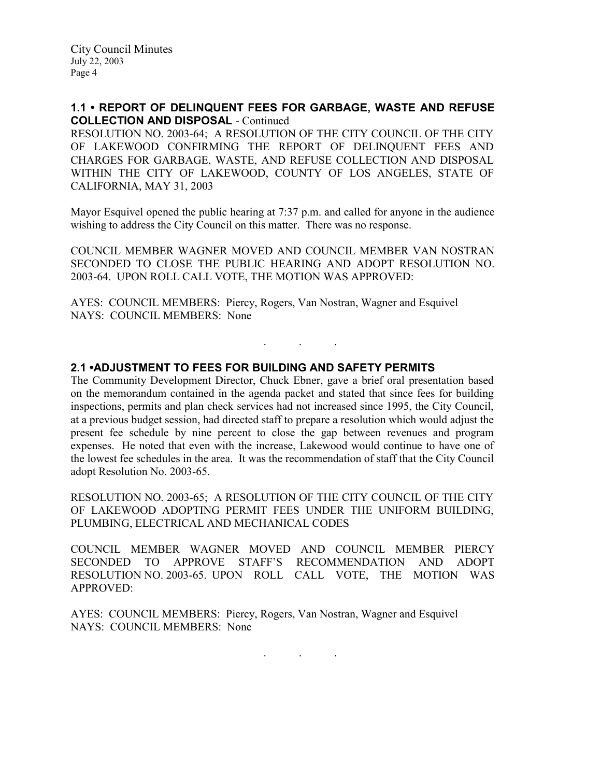## 1.1 • REPORT OF DELINQUENT FEES FOR GARBAGE, WASTE AND REFUSE COLLECTION AND DISPOSAL - Continued

RESOLUTION NO. 2003-64; A RESOLUTION OF THE CITY COUNCIL OF THE CITY OF LAKEWOOD CONFIRMING THE REPORT OF DELINQUENT FEES AND CHARGES FOR GARBAGE, WASTE, AND REFUSE COLLECTION AND DISPOSAL WITHIN THE CITY OF LAKEWOOD, COUNTY OF LOS ANGELES, STATE OF CALIFORNIA, MAY 31, 2003

Mayor Esquivel opened the public hearing at 7:37 p.m. and called for anyone in the audience wishing to address the City Council on this matter. There was no response.

COUNCIL MEMBER WAGNER MOVED AND COUNCIL MEMBER VAN NOSTRAN SECONDED TO CLOSE THE PUBLIC HEARING AND ADOPT RESOLUTION NO. 2003-64. UPON ROLL CALL VOTE, THE MOTION WAS APPROVED:

. . .

AYES: COUNCIL MEMBERS: Piercy, Rogers, Van Nostran, Wagner and Esquivel NAYS: COUNCIL MEMBERS: None

## 2.1 •ADJUSTMENT TO FEES FOR BUILDING AND SAFETY PERMITS

The Community Development Director, Chuck Ebner, gave a brief oral presentation based on the memorandum contained in the agenda packet and stated that since fees for building inspections, permits and plan check services had not increased since 1995, the City Council, at a previous budget session, had directed staff to prepare a resolution which would adjust the present fee schedule by nine percent to close the gap between revenues and program expenses. He noted that even with the increase, Lakewood would continue to have one of the lowest fee schedules in the area. It was the recommendation of staff that the City Council adopt Resolution No. 2003-65.

RESOLUTION NO. 2003-65; A RESOLUTION OF THE CITY COUNCIL OF THE CITY OF LAKEWOOD ADOPTING PERMIT FEES UNDER THE UNIFORM BUILDING, PLUMBING, ELECTRICAL AND MECHANICAL CODES

COUNCIL MEMBER WAGNER MOVED AND COUNCIL MEMBER PIERCY SECONDED TO APPROVE STAFF'S RECOMMENDATION AND ADOPT RESOLUTION NO. 2003-65. UPON ROLL CALL VOTE, THE MOTION WAS APPROVED:

AYES: COUNCIL MEMBERS: Piercy, Rogers, Van Nostran, Wagner and Esquivel NAYS: COUNCIL MEMBERS: None

. . .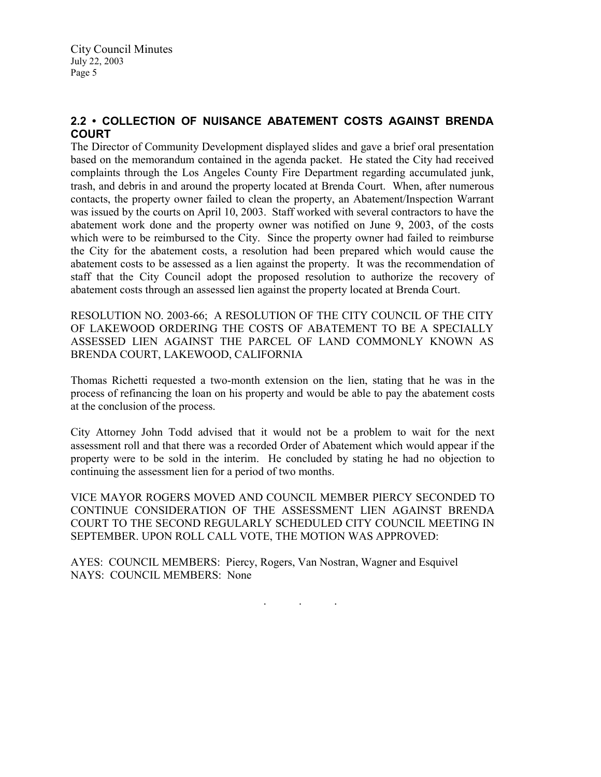# 2.2 • COLLECTION OF NUISANCE ABATEMENT COSTS AGAINST BRENDA **COURT**

The Director of Community Development displayed slides and gave a brief oral presentation based on the memorandum contained in the agenda packet. He stated the City had received complaints through the Los Angeles County Fire Department regarding accumulated junk, trash, and debris in and around the property located at Brenda Court. When, after numerous contacts, the property owner failed to clean the property, an Abatement/Inspection Warrant was issued by the courts on April 10, 2003. Staff worked with several contractors to have the abatement work done and the property owner was notified on June 9, 2003, of the costs which were to be reimbursed to the City. Since the property owner had failed to reimburse the City for the abatement costs, a resolution had been prepared which would cause the abatement costs to be assessed as a lien against the property. It was the recommendation of staff that the City Council adopt the proposed resolution to authorize the recovery of abatement costs through an assessed lien against the property located at Brenda Court.

RESOLUTION NO. 2003-66; A RESOLUTION OF THE CITY COUNCIL OF THE CITY OF LAKEWOOD ORDERING THE COSTS OF ABATEMENT TO BE A SPECIALLY ASSESSED LIEN AGAINST THE PARCEL OF LAND COMMONLY KNOWN AS BRENDA COURT, LAKEWOOD, CALIFORNIA

Thomas Richetti requested a two-month extension on the lien, stating that he was in the process of refinancing the loan on his property and would be able to pay the abatement costs at the conclusion of the process.

City Attorney John Todd advised that it would not be a problem to wait for the next assessment roll and that there was a recorded Order of Abatement which would appear if the property were to be sold in the interim. He concluded by stating he had no objection to continuing the assessment lien for a period of two months.

VICE MAYOR ROGERS MOVED AND COUNCIL MEMBER PIERCY SECONDED TO CONTINUE CONSIDERATION OF THE ASSESSMENT LIEN AGAINST BRENDA COURT TO THE SECOND REGULARLY SCHEDULED CITY COUNCIL MEETING IN SEPTEMBER. UPON ROLL CALL VOTE, THE MOTION WAS APPROVED:

AYES: COUNCIL MEMBERS: Piercy, Rogers, Van Nostran, Wagner and Esquivel NAYS: COUNCIL MEMBERS: None

. . .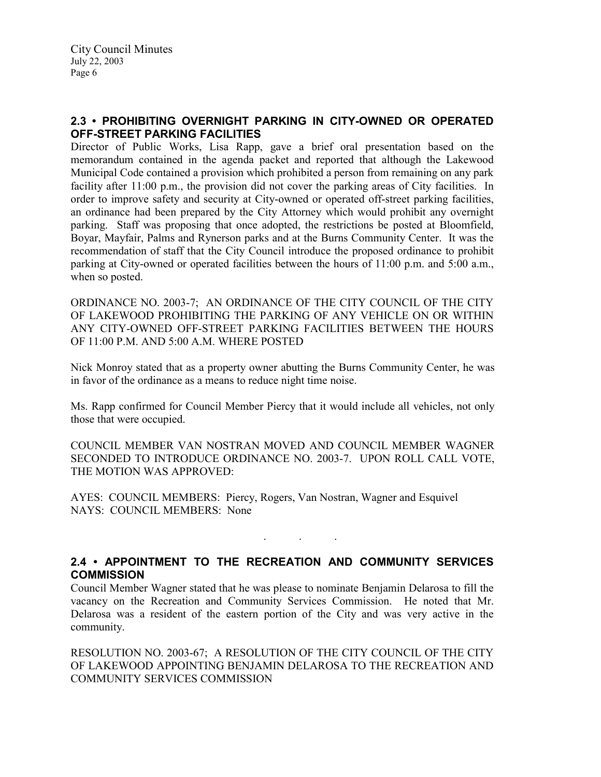## 2.3 • PROHIBITING OVERNIGHT PARKING IN CITY-OWNED OR OPERATED OFF-STREET PARKING FACILITIES

Director of Public Works, Lisa Rapp, gave a brief oral presentation based on the memorandum contained in the agenda packet and reported that although the Lakewood Municipal Code contained a provision which prohibited a person from remaining on any park facility after 11:00 p.m., the provision did not cover the parking areas of City facilities. In order to improve safety and security at City-owned or operated off-street parking facilities, an ordinance had been prepared by the City Attorney which would prohibit any overnight parking. Staff was proposing that once adopted, the restrictions be posted at Bloomfield, Boyar, Mayfair, Palms and Rynerson parks and at the Burns Community Center. It was the recommendation of staff that the City Council introduce the proposed ordinance to prohibit parking at City-owned or operated facilities between the hours of 11:00 p.m. and 5:00 a.m., when so posted.

ORDINANCE NO. 2003-7; AN ORDINANCE OF THE CITY COUNCIL OF THE CITY OF LAKEWOOD PROHIBITING THE PARKING OF ANY VEHICLE ON OR WITHIN ANY CITY-OWNED OFF-STREET PARKING FACILITIES BETWEEN THE HOURS OF 11:00 P.M. AND 5:00 A.M. WHERE POSTED

Nick Monroy stated that as a property owner abutting the Burns Community Center, he was in favor of the ordinance as a means to reduce night time noise.

Ms. Rapp confirmed for Council Member Piercy that it would include all vehicles, not only those that were occupied.

COUNCIL MEMBER VAN NOSTRAN MOVED AND COUNCIL MEMBER WAGNER SECONDED TO INTRODUCE ORDINANCE NO. 2003-7. UPON ROLL CALL VOTE, THE MOTION WAS APPROVED:

AYES: COUNCIL MEMBERS: Piercy, Rogers, Van Nostran, Wagner and Esquivel NAYS: COUNCIL MEMBERS: None

## 2.4 • APPOINTMENT TO THE RECREATION AND COMMUNITY SERVICES **COMMISSION**

. . .

Council Member Wagner stated that he was please to nominate Benjamin Delarosa to fill the vacancy on the Recreation and Community Services Commission. He noted that Mr. Delarosa was a resident of the eastern portion of the City and was very active in the community.

RESOLUTION NO. 2003-67; A RESOLUTION OF THE CITY COUNCIL OF THE CITY OF LAKEWOOD APPOINTING BENJAMIN DELAROSA TO THE RECREATION AND COMMUNITY SERVICES COMMISSION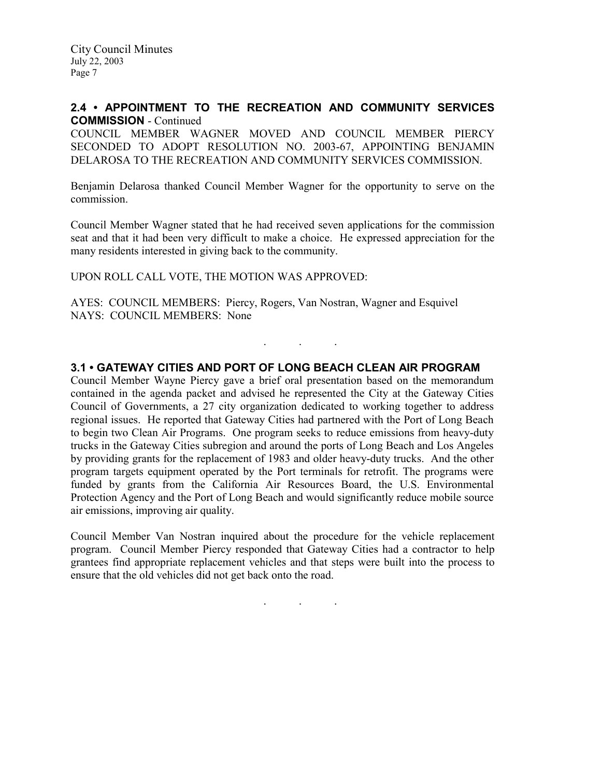### 2.4 • APPOINTMENT TO THE RECREATION AND COMMUNITY SERVICES COMMISSION - Continued

COUNCIL MEMBER WAGNER MOVED AND COUNCIL MEMBER PIERCY SECONDED TO ADOPT RESOLUTION NO. 2003-67, APPOINTING BENJAMIN DELAROSA TO THE RECREATION AND COMMUNITY SERVICES COMMISSION.

Benjamin Delarosa thanked Council Member Wagner for the opportunity to serve on the commission.

Council Member Wagner stated that he had received seven applications for the commission seat and that it had been very difficult to make a choice. He expressed appreciation for the many residents interested in giving back to the community.

UPON ROLL CALL VOTE, THE MOTION WAS APPROVED:

AYES: COUNCIL MEMBERS: Piercy, Rogers, Van Nostran, Wagner and Esquivel NAYS: COUNCIL MEMBERS: None

## 3.1 • GATEWAY CITIES AND PORT OF LONG BEACH CLEAN AIR PROGRAM

. . .

Council Member Wayne Piercy gave a brief oral presentation based on the memorandum contained in the agenda packet and advised he represented the City at the Gateway Cities Council of Governments, a 27 city organization dedicated to working together to address regional issues. He reported that Gateway Cities had partnered with the Port of Long Beach to begin two Clean Air Programs. One program seeks to reduce emissions from heavy-duty trucks in the Gateway Cities subregion and around the ports of Long Beach and Los Angeles by providing grants for the replacement of 1983 and older heavy-duty trucks. And the other program targets equipment operated by the Port terminals for retrofit. The programs were funded by grants from the California Air Resources Board, the U.S. Environmental Protection Agency and the Port of Long Beach and would significantly reduce mobile source air emissions, improving air quality.

Council Member Van Nostran inquired about the procedure for the vehicle replacement program. Council Member Piercy responded that Gateway Cities had a contractor to help grantees find appropriate replacement vehicles and that steps were built into the process to ensure that the old vehicles did not get back onto the road.

. . .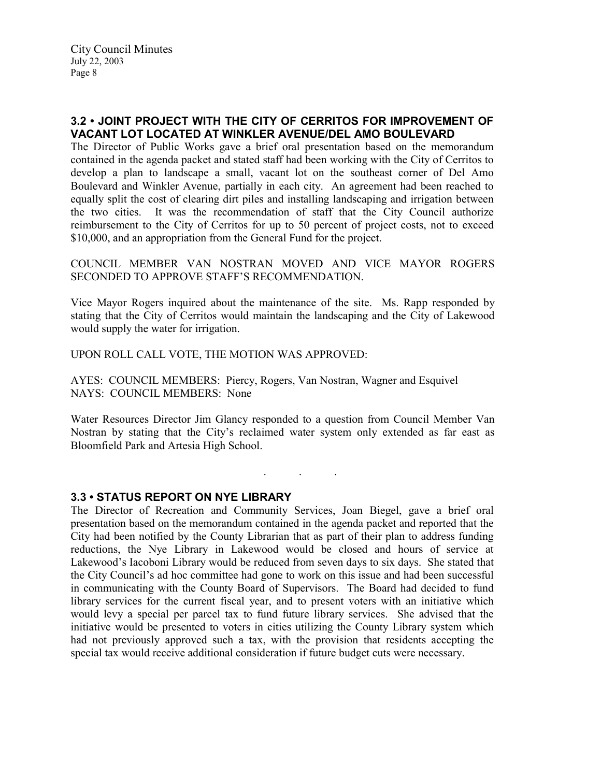## 3.2 • JOINT PROJECT WITH THE CITY OF CERRITOS FOR IMPROVEMENT OF VACANT LOT LOCATED AT WINKLER AVENUE/DEL AMO BOULEVARD

The Director of Public Works gave a brief oral presentation based on the memorandum contained in the agenda packet and stated staff had been working with the City of Cerritos to develop a plan to landscape a small, vacant lot on the southeast corner of Del Amo Boulevard and Winkler Avenue, partially in each city. An agreement had been reached to equally split the cost of clearing dirt piles and installing landscaping and irrigation between the two cities. It was the recommendation of staff that the City Council authorize reimbursement to the City of Cerritos for up to 50 percent of project costs, not to exceed \$10,000, and an appropriation from the General Fund for the project.

COUNCIL MEMBER VAN NOSTRAN MOVED AND VICE MAYOR ROGERS SECONDED TO APPROVE STAFF'S RECOMMENDATION.

Vice Mayor Rogers inquired about the maintenance of the site. Ms. Rapp responded by stating that the City of Cerritos would maintain the landscaping and the City of Lakewood would supply the water for irrigation.

UPON ROLL CALL VOTE, THE MOTION WAS APPROVED:

AYES: COUNCIL MEMBERS: Piercy, Rogers, Van Nostran, Wagner and Esquivel NAYS: COUNCIL MEMBERS: None

Water Resources Director Jim Glancy responded to a question from Council Member Van Nostran by stating that the City's reclaimed water system only extended as far east as Bloomfield Park and Artesia High School.

. . .

## 3.3 • STATUS REPORT ON NYE LIBRARY

The Director of Recreation and Community Services, Joan Biegel, gave a brief oral presentation based on the memorandum contained in the agenda packet and reported that the City had been notified by the County Librarian that as part of their plan to address funding reductions, the Nye Library in Lakewood would be closed and hours of service at Lakewood's Iacoboni Library would be reduced from seven days to six days. She stated that the City Council's ad hoc committee had gone to work on this issue and had been successful in communicating with the County Board of Supervisors. The Board had decided to fund library services for the current fiscal year, and to present voters with an initiative which would levy a special per parcel tax to fund future library services. She advised that the initiative would be presented to voters in cities utilizing the County Library system which had not previously approved such a tax, with the provision that residents accepting the special tax would receive additional consideration if future budget cuts were necessary.